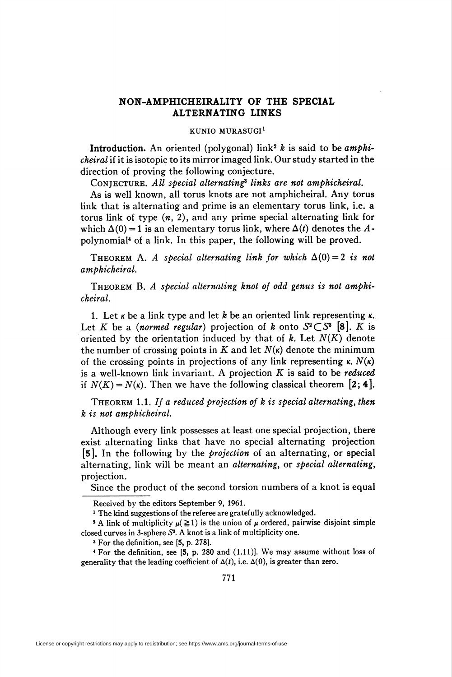## NON-AMPHICHEIRALITY OF THE SPECIAL ALTERNATING LINKS

## KUNIO MURASUGI1

**Introduction.** An oriented (polygonal) link<sup>2</sup>  $k$  is said to be amphicheiral if it is isotopic to its mirror imaged link. Our study started in the direction of proving the following conjecture.

CONJECTURE. All special alternating<sup>3</sup> links are not amphicheiral.

As is well known, all torus knots are not amphicheiral. Any torus link that is alternating and prime is an elementary torus link, i.e. a torus link of type  $(n, 2)$ , and any prime special alternating link for which  $\Delta(0) = 1$  is an elementary torus link, where  $\Delta(t)$  denotes the Apolynomial4 of a link. In this paper, the following will be proved.

THEOREM A. A special alternating link for which  $\Delta(0) = 2$  is not amphicheiral.

Theorem B. A special alternating knot of odd genus is not amphicheiral.

1. Let  $\kappa$  be a link type and let  $k$  be an oriented link representing  $\kappa$ . Let K be a *(normed regular)* projection of k onto  $S^2\subset S^3$  [8]. K is oriented by the orientation induced by that of  $k$ . Let  $N(K)$  denote the number of crossing points in K and let  $N(\kappa)$  denote the minimum of the crossing points in projections of any link representing  $\kappa$ .  $N(\kappa)$ is a well-known link invariant. A projection  $K$  is said to be *reduced* if  $N(K) = N(\kappa)$ . Then we have the following classical theorem [2: 4].

THEOREM 1.1. If a reduced projection of  $k$  is special alternating, then k is not amphicheiral.

Although every link possesses at least one special projection, there exist alternating links that have no special alternating projection [5]. In the following by the projection oí an alternating, or special alternating, link will be meant an alternating, or special alternating, projection.

Since the product of the second torsion numbers of a knot is equal

4 For the definition, see [5, p. 280 and (1.11)]. We may assume without loss of generality that the leading coefficient of  $\Delta(t)$ , i.e.  $\Delta(0)$ , is greater than zero.

Received by the editors September 9, 1961.

<sup>&</sup>lt;sup>1</sup> The kind suggestions of the referee are gratefully acknowledged.

<sup>&</sup>lt;sup>2</sup> A link of multiplicity  $\mu$ ( $\geq$ 1) is the union of  $\mu$  ordered, pairwise disjoint simple closed curves in 3-sphere S3. A knot is a link of multiplicity one.

<sup>&#</sup>x27; For the definition, see [5, p. 278].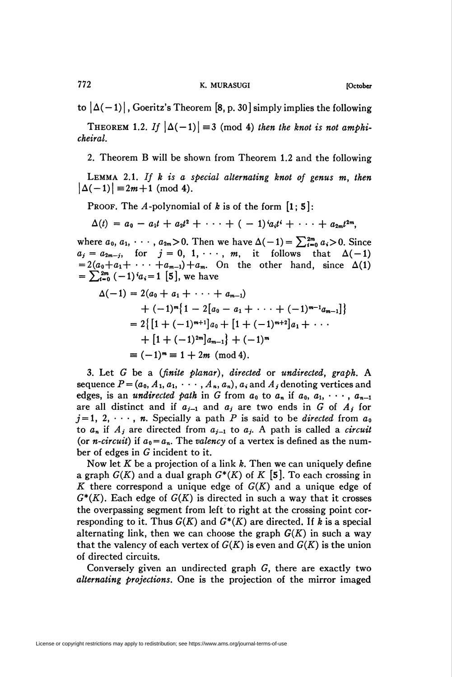to  $|\Delta(-1)|$ , Goeritz's Theorem [8, p. 30] simply implies the following

THEOREM 1.2. If  $|\Delta(-1)| \equiv 3 \pmod{4}$  then the knot is not amphicheiral.

2. Theorem B will be shown from Theorem 1.2 and the following

LEMMA 2.1. If  $k$  is a special alternating knot of genus  $m$ , then  $|\Delta(-1)| \equiv 2m + 1 \pmod{4}$ .

PROOF. The A-polynomial of k is of the form  $\begin{bmatrix} 1 \\ 5 \end{bmatrix}$ :

$$
\Delta(t) = a_0 - a_1t + a_2t^2 + \cdots + (-1)^i a_i t^i + \cdots + a_{2m}t^{2m},
$$

where  $a_0, a_1, \cdots, a_{2m} > 0$ . Then we have  $\Delta(-1) = \sum_{i=0}^{2m} a_i > 0$ . Since  $a_j = a_{2m-j}$ , for  $j = 0, 1, \cdots, m$ , it follows that  $\Delta(-1)$  $= 2(a_0+a_1+\cdots+a_{m-1})+a_m$ . On the other hand, since  $\Delta(1)$  $=\sum_{i=0}^{2m} (-1)^{i} a_i = 1$  [5], we have

$$
\Delta(-1) = 2(a_0 + a_1 + \cdots + a_{m-1})
$$
  
+  $(-1)^m \{ 1 - 2[a_0 - a_1 + \cdots + (-1)^{m-1}a_{m-1}] \}$   
=  $2 \{ [1 + (-1)^{m+1}] a_0 + [1 + (-1)^{m+2}] a_1 + \cdots$   
+  $[1 + (-1)^{2m}] a_{m-1} \} + (-1)^m$   
=  $(-1)^m = 1 + 2m \pmod{4}.$ 

3. Let G be a (finite planar), directed or undirected, graph. A sequence  $P = (a_0, A_1, a_1, \cdots, A_n, a_n)$ ,  $a_i$  and  $A_j$  denoting vertices and edges, is an *undirected path* in G from  $a_0$  to  $a_n$  if  $a_0, a_1, \cdots, a_{n-1}$ are all distinct and if  $a_{j-1}$  and  $a_j$  are two ends in G of  $A_j$  for  $j=1, 2, \dots, n$ . Specially a path P is said to be *directed* from  $a_0$ to  $a_n$  if  $A_j$  are directed from  $a_{j-1}$  to  $a_j$ . A path is called a *circuit* (or *n-circuit*) if  $a_0 = a_n$ . The valency of a vertex is defined as the number of edges in G incident to it.

Now let K be a projection of a link k. Then we can uniquely define a graph  $G(K)$  and a dual graph  $G^*(K)$  of K [5]. To each crossing in K there correspond a unique edge of  $G(K)$  and a unique edge of  $G^*(K)$ . Each edge of  $G(K)$  is directed in such a way that it crosses the overpassing segment from left to right at the crossing point corresponding to it. Thus  $G(K)$  and  $G^*(K)$  are directed. If k is a special alternating link, then we can choose the graph  $G(K)$  in such a way that the valency of each vertex of  $G(K)$  is even and  $G(K)$  is the union of directed circuits.

Conversely given an undirected graph G, there are exactly two alternating projections. One is the projection of the mirror imaged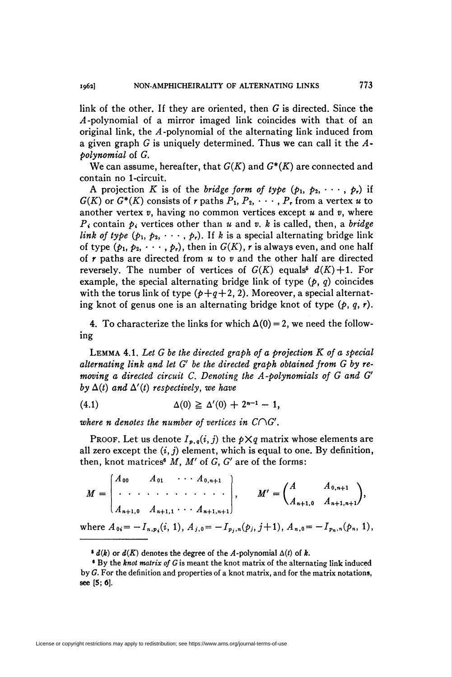link of the other. If they are oriented, then G is directed. Since the  $A$ -polynomial of a mirror imaged link coincides with that of an original link, the A -polynomial of the alternating link induced from a given graph G is uniquely determined. Thus we can call it the  $A$ polynomial of G.

We can assume, hereafter, that  $G(K)$  and  $G^*(K)$  are connected and contain no 1-circuit.

A projection K is of the bridge form of type  $(p_1, p_2, \dots, p_r)$  if  $G(K)$  or  $G^*(K)$  consists of r paths  $P_1, P_2, \cdots, P_r$  from a vertex u to another vertex  $v$ , having no common vertices except  $u$  and  $v$ , where  $P_i$  contain  $p_i$  vertices other than u and v. k is called, then, a bridge link of type  $(p_1, p_2, \dots, p_r)$ . If k is a special alternating bridge link of type  $(p_1, p_2, \dots, p_r)$ , then in  $G(K)$ , r is always even, and one half of  $r$  paths are directed from  $u$  to  $v$  and the other half are directed reversely. The number of vertices of  $G(K)$  equals<sup>6</sup>  $d(K) + 1$ . For example, the special alternating bridge link of type  $(p, q)$  coincides with the torus link of type  $(p+q+2, 2)$ . Moreover, a special alternating knot of genus one is an alternating bridge knot of type  $(p, q, r)$ .

4. To characterize the links for which  $\Delta(0) = 2$ , we need the following

LEMMA 4.1. Let  $G$  be the directed graph of a projection  $K$  of a special alternating link and let G' be the directed graph obtained from G by removing a directed circuit C. Denoting the A-polynomials of G and G' by  $\Delta(t)$  and  $\Delta'(t)$  respectively, we have

(4.1) 
$$
\Delta(0) \geq \Delta'(0) + 2^{n-1} - 1,
$$

where n denotes the number of vertices in  $C\cap G'$ .

PROOF. Let us denote  $I_{p,q}(i,j)$  the  $p \times q$  matrix whose elements are all zero except the  $(i, j)$  element, which is equal to one. By definition, then, knot matrices<sup>6</sup> M, M' of G, G' are of the forms:

 $\begin{bmatrix} A_{\mathbf{0} \mathbf{0}} & A_{\mathbf{0} \mathbf{1}} & \cdots & A_{\mathbf{0},n} \end{bmatrix}$  $M =$ n+l  $\begin{pmatrix} \cdots & \cdots & \cdots & \cdots & \cdots \\ A_{n+1,0} & A_{n+1,1} & \cdots & A_{n+1,n+1} \end{pmatrix}$ ,  $M' = \begin{pmatrix} 1 & \cdots & 1 \\ A_{n+1,0} & A_{n+1,n+1} \end{pmatrix}$ 

where  $A_{0i} = -I_{n,pi}(i, 1), A_{j,0} = -I_{p_i,n}(p_j, j+1), A_{n,0} = -I_{p_n,n}(p_n, 1),$ 

 $\bullet$   $d(k)$  or  $d(K)$  denotes the degree of the A-polynomial  $\Delta(t)$  of k.

 $\bullet$  By the knot matrix of G is meant the knot matrix of the alternating link induced by  $G$ . For the definition and properties of a knot matrix, and for the matrix notations, see [5; 6].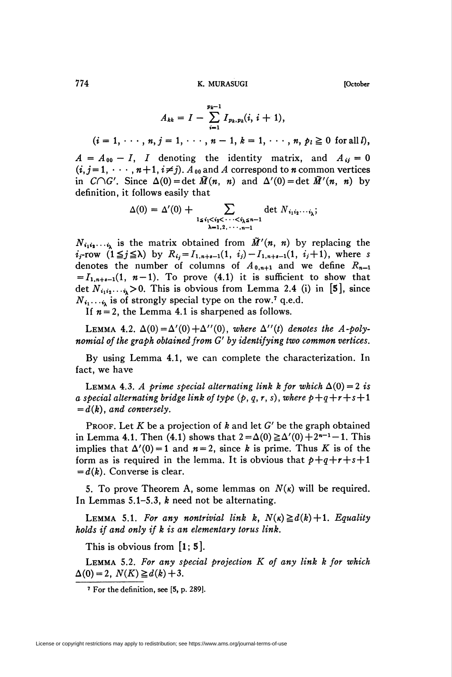774 K. MURASUGI [October

$$
A_{kk} = I - \sum_{i=1}^{p_k-1} I_{p_k, p_k}(i, i+1),
$$

 $(i = 1, \dots, n, j = 1, \dots, n - 1, k = 1, \dots, n, p_l \ge 0 \text{ for all } l),$ 

 $A = A_{00} - I$ , I denoting the identity matrix, and  $A_{ij} = 0$  $(i, j = 1, \dots, n+1, i \neq j)$ .  $A_{00}$  and A correspond to n common vertices in  $C\cap G'$ . Since  $\Delta(0) = \det \tilde{M}(n, n)$  and  $\Delta'(0) = \det \tilde{M}'(n, n)$  by definition, it follows easily that

$$
\Delta(0) = \Delta'(0) + \sum_{\substack{1 \le i_1 < i_2 < \cdots < i_k \le n-1 \\ \lambda = 1, 2, \cdots, n-1}} \det N_{i_1 i_2 \cdots i_k};
$$

 $N_{i_1i_2\cdots i_k}$  is the matrix obtained from  $\tilde{M}'(n, n)$  by replacing the  $i_j$ -row  $(1 \leq j \leq \lambda)$  by  $R_{i_j} = I_{1,n+s-1}(1, i_j) - I_{1,n+s-1}(1, i_j+1)$ , where s denotes the number of columns of  $A_{0,n+1}$  and we define  $R_{n-1}$  $= I_{1,n+s-1}(1, n-1)$ . To prove (4.1) it is sufficient to show that det  $N_{i_1i_2\cdots i_k}>0$ . This is obvious from Lemma 2.4 (i) in [5], since  $N_{i_1\cdots i_k}$  is of strongly special type on the row.<sup>7</sup> q.e.d.

If  $n = 2$ , the Lemma 4.1 is sharpened as follows.

LEMMA 4.2.  $\Delta(0) = \Delta'(0) + \Delta''(0)$ , where  $\Delta''(t)$  denotes the A-polynomidl of the graph obtained from G' by identifying two common vertices.

By using Lemma 4.1, we can complete the characterization. In fact, we have

LEMMA 4.3. A prime special alternating link k for which  $\Delta(0) = 2$  is a special alternating bridge link of type  $(p, q, r, s)$ , where  $p+q+r+s+1$  $= d(k)$ , and conversely.

PROOF. Let K be a projection of k and let  $G'$  be the graph obtained in Lemma 4.1. Then (4.1) shows that  $2 = \Delta(0) \ge \Delta'(0) + 2^{n-1}-1$ . This implies that  $\Delta'(0) = 1$  and  $n = 2$ , since k is prime. Thus K is of the form as is required in the lemma. It is obvious that  $p+q+r+s+1$  $= d(k)$ . Converse is clear.

5. To prove Theorem A, some lemmas on  $N(\kappa)$  will be required. In Lemmas 5.1-5.3, k need not be alternating.

LEMMA 5.1. For any nontrivial link k,  $N(\kappa) \ge d(k) + 1$ . Equality holds if and only if k is an elementary torus link.

This is obvious from  $\left[1; 5\right]$ .

LEMMA 5.2. For any special projection  $K$  of any link  $k$  for which  $\Delta(0) = 2$ ,  $N(K) \geq d(k)+3$ .

<sup>7</sup> For the definition, see [5, p. 289].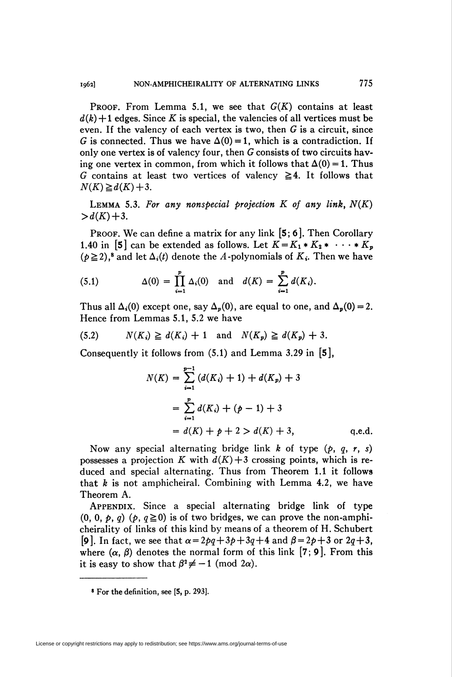PROOF. From Lemma 5.1, we see that  $G(K)$  contains at least  $d(k) + 1$  edges. Since K is special, the valencies of all vertices must be even. If the valency of each vertex is two, then  $G$  is a circuit, since G is connected. Thus we have  $\Delta(0) = 1$ , which is a contradiction. If only one vertex is of valency four, then G consists of two circuits having one vertex in common, from which it follows that  $\Delta(0) = 1$ . Thus G contains at least two vertices of valency  $\geq 4$ . It follows that  $N(K)\geq d(K)+3.$ 

LEMMA 5.3. For any nonspecial projection  $K$  of any link,  $N(K)$  $> d(K) + 3.$ 

**PROOF.** We can define a matrix for any link  $[5, 6]$ . Then Corollary 1.40 in [5] can be extended as follows. Let  $K = K_1 * K_2 * \cdots * K_n$  $(p\geq 2)$ ,<sup>8</sup> and let  $\Delta_i(t)$  denote the A-polynomials of  $K_i$ . Then we have

(5.1) 
$$
\Delta(0) = \prod_{i=1}^{p} \Delta_i(0) \text{ and } d(K) = \sum_{i=1}^{p} d(K_i).
$$

Thus all  $\Delta_i(0)$  except one, say  $\Delta_p(0)$ , are equal to one, and  $\Delta_p(0) = 2$ . Hence from Lemmas 5.1, 5.2 we have

$$
(5.2) \qquad N(K_i) \ge d(K_i) + 1 \quad \text{and} \quad N(K_p) \ge d(K_p) + 3.
$$

Consequently it follows from  $(5.1)$  and Lemma 3.29 in  $[5]$ ,

$$
N(K) = \sum_{i=1}^{p-1} (d(K_i) + 1) + d(K_p) + 3
$$
  
= 
$$
\sum_{i=1}^{p} d(K_i) + (p - 1) + 3
$$
  
= 
$$
d(K) + p + 2 > d(K) + 3,
$$
 q.e.d.

Now any special alternating bridge link k of type  $(p, q, r, s)$ possesses a projection K with  $d(K)+3$  crossing points, which is reduced and special alternating. Thus from Theorem 1.1 it follows that  $k$  is not amphicheiral. Combining with Lemma 4.2, we have Theorem A.

APPENDIX. Since a special alternating bridge link of type  $(0, 0, p, q)$   $(p, q \ge 0)$  is of two bridges, we can prove the non-amphicheirality of links of this kind by means of a theorem of H. Schubert [9]. In fact, we see that  $\alpha = 2pq+3p+3q+4$  and  $\beta = 2p+3$  or  $2q+3$ , where  $(\alpha, \beta)$  denotes the normal form of this link [7; 9]. From this it is easy to show that  $\beta^2 \neq -1$  (mod 2 $\alpha$ ).

<sup>8</sup> For the definition, see [5, p. 293].